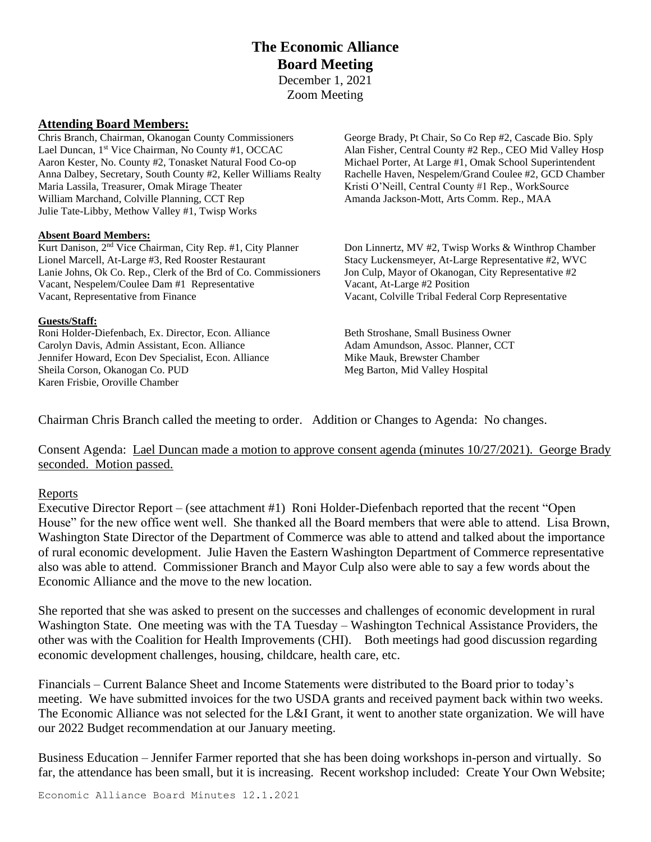## **The Economic Alliance Board Meeting** December 1, 2021 Zoom Meeting

### **Attending Board Members:**

Chris Branch, Chairman, Okanogan County Commissioners George Brady, Pt Chair, So Co Rep #2, Cascade Bio. Sply Lael Duncan, 1st Vice Chairman, No County #1, OCCAC Aaron Kester, No. County #2, Tonasket Natural Food Co-op Michael Porter, At Large #1, Omak School Superintendent Anna Dalbey, Secretary, South County #2, Keller Williams Realty Rachelle Haven, Nespelem/Grand Coulee #2, GCD Chamber Maria Lassila, Treasurer, Omak Mirage Theater Kristi O'Neill, Central County #1 Rep., WorkSource William Marchand, Colville Planning, CCT Rep Amanda Jackson-Mott, Arts Comm. Rep., MAA Julie Tate-Libby, Methow Valley #1, Twisp Works

#### **Absent Board Members:**

Kurt Danison, 2<sup>nd</sup> Vice Chairman, City Rep. #1, City Planner Lionel Marcell, At-Large #3, Red Rooster Restaurant Stacy Luckensmeyer, At-Large Representative #2, WVC Lanie Johns, Ok Co. Rep., Clerk of the Brd of Co. Commissioners Jon Culp, Mayor of Okanogan, City Representative #2 Vacant, Nespelem/Coulee Dam #1 Representative Vacant, At-Large #2 Position Vacant, Representative from Finance Vacant, Colville Tribal Federal Corp Representative

#### **Guests/Staff:**

Roni Holder-Diefenbach, Ex. Director, Econ. Alliance Beth Stroshane, Small Business Owner Carolyn Davis, Admin Assistant, Econ. Alliance Adam Amundson, Assoc. Planner, CCT Jennifer Howard, Econ Dev Specialist, Econ. Alliance Mike Mauk, Brewster Chamber Sheila Corson, Okanogan Co. PUD Meg Barton, Mid Valley Hospital Karen Frisbie, Oroville Chamber

Alan Fisher, Central County #2 Rep., CEO Mid Valley Hosp

Don Linnertz, MV #2, Twisp Works & Winthrop Chamber

Chairman Chris Branch called the meeting to order. Addition or Changes to Agenda: No changes.

Consent Agenda: Lael Duncan made a motion to approve consent agenda (minutes 10/27/2021). George Brady seconded. Motion passed.

#### Reports

Executive Director Report – (see attachment #1) Roni Holder-Diefenbach reported that the recent "Open House" for the new office went well. She thanked all the Board members that were able to attend. Lisa Brown, Washington State Director of the Department of Commerce was able to attend and talked about the importance of rural economic development. Julie Haven the Eastern Washington Department of Commerce representative also was able to attend. Commissioner Branch and Mayor Culp also were able to say a few words about the Economic Alliance and the move to the new location.

She reported that she was asked to present on the successes and challenges of economic development in rural Washington State. One meeting was with the TA Tuesday – Washington Technical Assistance Providers, the other was with the Coalition for Health Improvements (CHI). Both meetings had good discussion regarding economic development challenges, housing, childcare, health care, etc.

Financials – Current Balance Sheet and Income Statements were distributed to the Board prior to today's meeting. We have submitted invoices for the two USDA grants and received payment back within two weeks. The Economic Alliance was not selected for the L&I Grant, it went to another state organization. We will have our 2022 Budget recommendation at our January meeting.

Business Education – Jennifer Farmer reported that she has been doing workshops in-person and virtually. So far, the attendance has been small, but it is increasing. Recent workshop included: Create Your Own Website;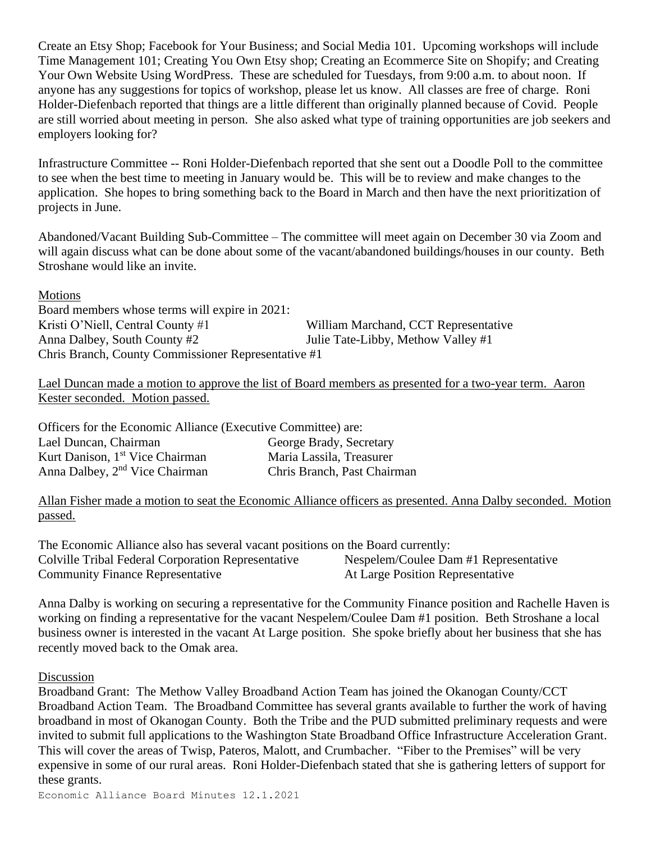Create an Etsy Shop; Facebook for Your Business; and Social Media 101. Upcoming workshops will include Time Management 101; Creating You Own Etsy shop; Creating an Ecommerce Site on Shopify; and Creating Your Own Website Using WordPress. These are scheduled for Tuesdays, from 9:00 a.m. to about noon. If anyone has any suggestions for topics of workshop, please let us know. All classes are free of charge. Roni Holder-Diefenbach reported that things are a little different than originally planned because of Covid. People are still worried about meeting in person. She also asked what type of training opportunities are job seekers and employers looking for?

Infrastructure Committee -- Roni Holder-Diefenbach reported that she sent out a Doodle Poll to the committee to see when the best time to meeting in January would be. This will be to review and make changes to the application. She hopes to bring something back to the Board in March and then have the next prioritization of projects in June.

Abandoned/Vacant Building Sub-Committee – The committee will meet again on December 30 via Zoom and will again discuss what can be done about some of the vacant/abandoned buildings/houses in our county. Beth Stroshane would like an invite.

## Motions

Board members whose terms will expire in 2021: Kristi O'Niell, Central County #1 William Marchand, CCT Representative Anna Dalbey, South County #2 Julie Tate-Libby, Methow Valley #1 Chris Branch, County Commissioner Representative #1

Lael Duncan made a motion to approve the list of Board members as presented for a two-year term. Aaron Kester seconded. Motion passed.

Officers for the Economic Alliance (Executive Committee) are: Lael Duncan, Chairman George Brady, Secretary Kurt Danison, 1<sup>st</sup> Vice Chairman Maria Lassila, Treasurer Anna Dalbey, 2nd Vice Chairman Chris Branch, Past Chairman

Allan Fisher made a motion to seat the Economic Alliance officers as presented. Anna Dalby seconded. Motion passed.

The Economic Alliance also has several vacant positions on the Board currently: Colville Tribal Federal Corporation Representative Nespelem/Coulee Dam #1 Representative Community Finance Representative At Large Position Representative

Anna Dalby is working on securing a representative for the Community Finance position and Rachelle Haven is working on finding a representative for the vacant Nespelem/Coulee Dam #1 position. Beth Stroshane a local business owner is interested in the vacant At Large position. She spoke briefly about her business that she has recently moved back to the Omak area.

## Discussion

Broadband Grant: The Methow Valley Broadband Action Team has joined the Okanogan County/CCT Broadband Action Team. The Broadband Committee has several grants available to further the work of having broadband in most of Okanogan County. Both the Tribe and the PUD submitted preliminary requests and were invited to submit full applications to the Washington State Broadband Office Infrastructure Acceleration Grant. This will cover the areas of Twisp, Pateros, Malott, and Crumbacher. "Fiber to the Premises" will be very expensive in some of our rural areas. Roni Holder-Diefenbach stated that she is gathering letters of support for these grants.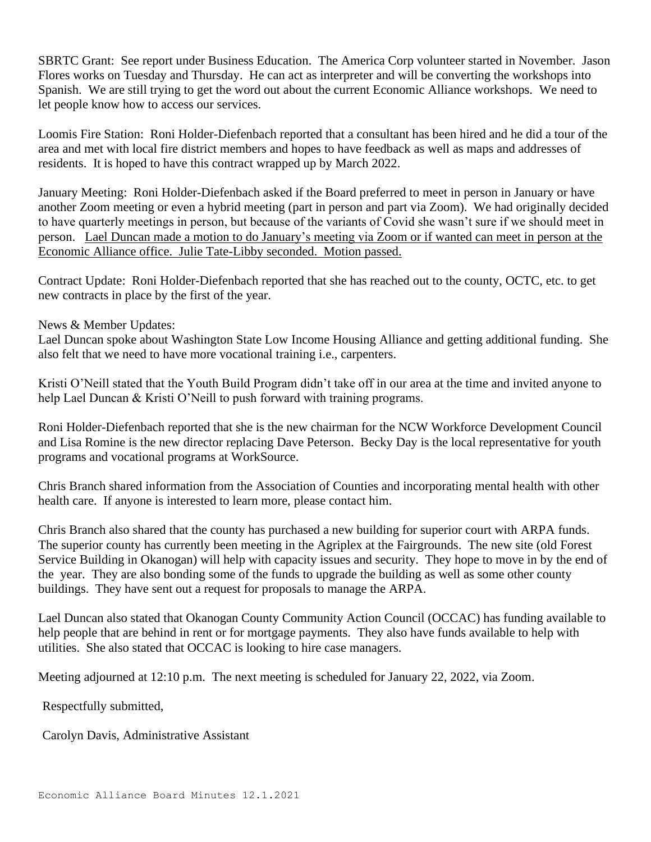SBRTC Grant: See report under Business Education. The America Corp volunteer started in November. Jason Flores works on Tuesday and Thursday. He can act as interpreter and will be converting the workshops into Spanish. We are still trying to get the word out about the current Economic Alliance workshops. We need to let people know how to access our services.

Loomis Fire Station: Roni Holder-Diefenbach reported that a consultant has been hired and he did a tour of the area and met with local fire district members and hopes to have feedback as well as maps and addresses of residents. It is hoped to have this contract wrapped up by March 2022.

January Meeting: Roni Holder-Diefenbach asked if the Board preferred to meet in person in January or have another Zoom meeting or even a hybrid meeting (part in person and part via Zoom). We had originally decided to have quarterly meetings in person, but because of the variants of Covid she wasn't sure if we should meet in person. Lael Duncan made a motion to do January's meeting via Zoom or if wanted can meet in person at the Economic Alliance office. Julie Tate-Libby seconded. Motion passed.

Contract Update: Roni Holder-Diefenbach reported that she has reached out to the county, OCTC, etc. to get new contracts in place by the first of the year.

News & Member Updates:

Lael Duncan spoke about Washington State Low Income Housing Alliance and getting additional funding. She also felt that we need to have more vocational training i.e., carpenters.

Kristi O'Neill stated that the Youth Build Program didn't take off in our area at the time and invited anyone to help Lael Duncan & Kristi O'Neill to push forward with training programs.

Roni Holder-Diefenbach reported that she is the new chairman for the NCW Workforce Development Council and Lisa Romine is the new director replacing Dave Peterson. Becky Day is the local representative for youth programs and vocational programs at WorkSource.

Chris Branch shared information from the Association of Counties and incorporating mental health with other health care. If anyone is interested to learn more, please contact him.

Chris Branch also shared that the county has purchased a new building for superior court with ARPA funds. The superior county has currently been meeting in the Agriplex at the Fairgrounds. The new site (old Forest Service Building in Okanogan) will help with capacity issues and security. They hope to move in by the end of the year. They are also bonding some of the funds to upgrade the building as well as some other county buildings. They have sent out a request for proposals to manage the ARPA.

Lael Duncan also stated that Okanogan County Community Action Council (OCCAC) has funding available to help people that are behind in rent or for mortgage payments. They also have funds available to help with utilities. She also stated that OCCAC is looking to hire case managers.

Meeting adjourned at 12:10 p.m. The next meeting is scheduled for January 22, 2022, via Zoom.

Respectfully submitted,

Carolyn Davis, Administrative Assistant